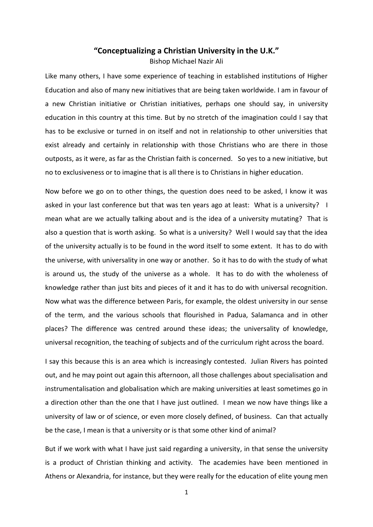## **"Conceptualizing a Christian University in the U.K."**

Bishop Michael Nazir Ali

Like many others, I have some experience of teaching in established institutions of Higher Education and also of many new initiatives that are being taken worldwide. I am in favour of a new Christian initiative or Christian initiatives, perhaps one should say, in university education in this country at this time. But by no stretch of the imagination could I say that has to be exclusive or turned in on itself and not in relationship to other universities that exist already and certainly in relationship with those Christians who are there in those outposts, as it were, as far as the Christian faith is concerned. So yes to a new initiative, but no to exclusiveness or to imagine that is all there is to Christians in higher education.

Now before we go on to other things, the question does need to be asked, I know it was asked in your last conference but that was ten years ago at least: What is a university? I mean what are we actually talking about and is the idea of a university mutating? That is also a question that is worth asking. So what is a university? Well I would say that the idea of the university actually is to be found in the word itself to some extent. It has to do with the universe, with universality in one way or another. So it has to do with the study of what is around us, the study of the universe as a whole. It has to do with the wholeness of knowledge rather than just bits and pieces of it and it has to do with universal recognition. Now what was the difference between Paris, for example, the oldest university in our sense of the term, and the various schools that flourished in Padua, Salamanca and in other places? The difference was centred around these ideas; the universality of knowledge, universal recognition, the teaching of subjects and of the curriculum right across the board.

I say this because this is an area which is increasingly contested. Julian Rivers has pointed out, and he may point out again this afternoon, all those challenges about specialisation and instrumentalisation and globalisation which are making universities at least sometimes go in a direction other than the one that I have just outlined. I mean we now have things like a university of law or of science, or even more closely defined, of business. Can that actually be the case, I mean is that a university or is that some other kind of animal?

But if we work with what I have just said regarding a university, in that sense the university is a product of Christian thinking and activity. The academies have been mentioned in Athens or Alexandria, for instance, but they were really for the education of elite young men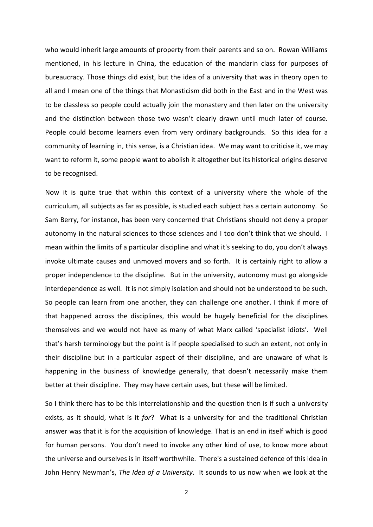who would inherit large amounts of property from their parents and so on. Rowan Williams mentioned, in his lecture in China, the education of the mandarin class for purposes of bureaucracy. Those things did exist, but the idea of a university that was in theory open to all and I mean one of the things that Monasticism did both in the East and in the West was to be classless so people could actually join the monastery and then later on the university and the distinction between those two wasn't clearly drawn until much later of course. People could become learners even from very ordinary backgrounds. So this idea for a community of learning in, this sense, is a Christian idea. We may want to criticise it, we may want to reform it, some people want to abolish it altogether but its historical origins deserve to be recognised.

Now it is quite true that within this context of a university where the whole of the curriculum, all subjects as far as possible, is studied each subject has a certain autonomy. So Sam Berry, for instance, has been very concerned that Christians should not deny a proper autonomy in the natural sciences to those sciences and I too don't think that we should. I mean within the limits of a particular discipline and what it's seeking to do, you don't always invoke ultimate causes and unmoved movers and so forth. It is certainly right to allow a proper independence to the discipline. But in the university, autonomy must go alongside interdependence as well. It is not simply isolation and should not be understood to be such. So people can learn from one another, they can challenge one another. I think if more of that happened across the disciplines, this would be hugely beneficial for the disciplines themselves and we would not have as many of what Marx called 'specialist idiots'. Well that's harsh terminology but the point is if people specialised to such an extent, not only in their discipline but in a particular aspect of their discipline, and are unaware of what is happening in the business of knowledge generally, that doesn't necessarily make them better at their discipline. They may have certain uses, but these will be limited.

So I think there has to be this interrelationship and the question then is if such a university exists, as it should, what is it *for*? What is a university for and the traditional Christian answer was that it is for the acquisition of knowledge. That is an end in itself which is good for human persons. You don't need to invoke any other kind of use, to know more about the universe and ourselves is in itself worthwhile. There's a sustained defence of this idea in John Henry Newman's, *The Idea of a University*. It sounds to us now when we look at the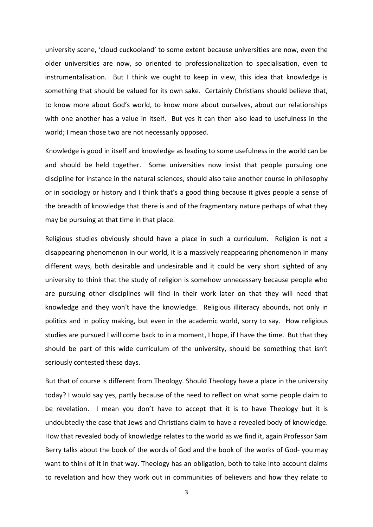university scene, 'cloud cuckooland' to some extent because universities are now, even the older universities are now, so oriented to professionalization to specialisation, even to instrumentalisation. But I think we ought to keep in view, this idea that knowledge is something that should be valued for its own sake. Certainly Christians should believe that, to know more about God's world, to know more about ourselves, about our relationships with one another has a value in itself. But yes it can then also lead to usefulness in the world; I mean those two are not necessarily opposed.

Knowledge is good in itself and knowledge as leading to some usefulness in the world can be and should be held together. Some universities now insist that people pursuing one discipline for instance in the natural sciences, should also take another course in philosophy or in sociology or history and I think that's a good thing because it gives people a sense of the breadth of knowledge that there is and of the fragmentary nature perhaps of what they may be pursuing at that time in that place.

Religious studies obviously should have a place in such a curriculum. Religion is not a disappearing phenomenon in our world, it is a massively reappearing phenomenon in many different ways, both desirable and undesirable and it could be very short sighted of any university to think that the study of religion is somehow unnecessary because people who are pursuing other disciplines will find in their work later on that they will need that knowledge and they won't have the knowledge. Religious illiteracy abounds, not only in politics and in policy making, but even in the academic world, sorry to say. How religious studies are pursued I will come back to in a moment, I hope, if I have the time. But that they should be part of this wide curriculum of the university, should be something that isn't seriously contested these days.

But that of course is different from Theology. Should Theology have a place in the university today? I would say yes, partly because of the need to reflect on what some people claim to be revelation. I mean you don't have to accept that it is to have Theology but it is undoubtedly the case that Jews and Christians claim to have a revealed body of knowledge. How that revealed body of knowledge relates to the world as we find it, again Professor Sam Berry talks about the book of the words of God and the book of the works of God- you may want to think of it in that way. Theology has an obligation, both to take into account claims to revelation and how they work out in communities of believers and how they relate to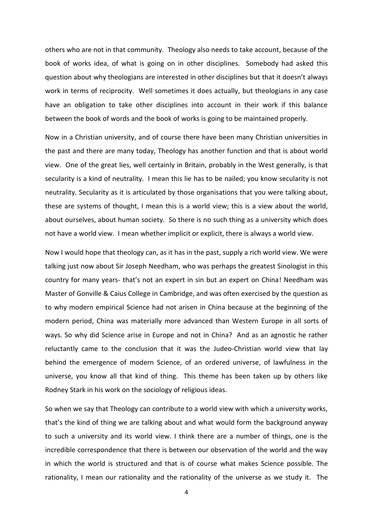others who are not in that community. Theology also needs to take account, because of the book of works idea, of what is going on in other disciplines. Somebody had asked this question about why theologians are interested in other disciplines but that it doesn't always work in terms of reciprocity. Well sometimes it does actually, but theologians in any case have an obligation to take other disciplines into account in their work if this balance between the book of words and the book of works is going to be maintained properly.

Now in a Christian university, and of course there have been many Christian universities in the past and there are many today, Theology has another function and that is about world view. One of the great lies, well certainly in Britain, probably in the West generally, is that secularity is a kind of neutrality. I mean this lie has to be nailed; you know secularity is not neutrality. Secularity as it is articulated by those organisations that you were talking about, these are systems of thought, I mean this is a world view; this is a view about the world, about ourselves, about human society. So there is no such thing as a university which does not have a world view. I mean whether implicit or explicit, there is always a world view.

Now I would hope that theology can, as it has in the past, supply a rich world view. We were talking just now about Sir Joseph Needham, who was perhaps the greatest Sinologist in this country for many years- that's not an expert in sin but an expert on China! Needham was Master of Gonville & Caius College in Cambridge, and was often exercised by the question as to why modern empirical Science had not arisen in China because at the beginning of the modern period, China was materially more advanced than Western Europe in all sorts of ways. So why did Science arise in Europe and not in China? And as an agnostic he rather reluctantly came to the conclusion that it was the Judeo-Christian world view that lay behind the emergence of modern Science, of an ordered universe, of lawfulness in the universe, you know all that kind of thing. This theme has been taken up by others like Rodney Stark in his work on the sociology of religious ideas.

So when we say that Theology can contribute to a world view with which a university works, that's the kind of thing we are talking about and what would form the background anyway to such a university and its world view. I think there are a number of things, one is the incredible correspondence that there is between our observation of the world and the way in which the world is structured and that is of course what makes Science possible. The rationality, I mean our rationality and the rationality of the universe as we study it. The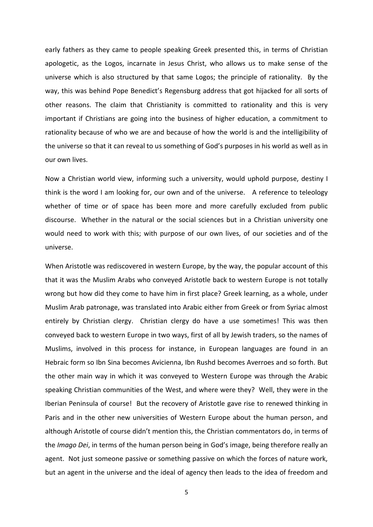early fathers as they came to people speaking Greek presented this, in terms of Christian apologetic, as the Logos, incarnate in Jesus Christ, who allows us to make sense of the universe which is also structured by that same Logos; the principle of rationality. By the way, this was behind Pope Benedict's Regensburg address that got hijacked for all sorts of other reasons. The claim that Christianity is committed to rationality and this is very important if Christians are going into the business of higher education, a commitment to rationality because of who we are and because of how the world is and the intelligibility of the universe so that it can reveal to us something of God's purposes in his world as well as in our own lives.

Now a Christian world view, informing such a university, would uphold purpose, destiny I think is the word I am looking for, our own and of the universe. A reference to teleology whether of time or of space has been more and more carefully excluded from public discourse. Whether in the natural or the social sciences but in a Christian university one would need to work with this; with purpose of our own lives, of our societies and of the universe.

When Aristotle was rediscovered in western Europe, by the way, the popular account of this that it was the Muslim Arabs who conveyed Aristotle back to western Europe is not totally wrong but how did they come to have him in first place? Greek learning, as a whole, under Muslim Arab patronage, was translated into Arabic either from Greek or from Syriac almost entirely by Christian clergy. Christian clergy do have a use sometimes! This was then conveyed back to western Europe in two ways, first of all by Jewish traders, so the names of Muslims, involved in this process for instance, in European languages are found in an Hebraic form so Ibn Sina becomes Avicienna, Ibn Rushd becomes Averroes and so forth. But the other main way in which it was conveyed to Western Europe was through the Arabic speaking Christian communities of the West, and where were they? Well, they were in the Iberian Peninsula of course! But the recovery of Aristotle gave rise to renewed thinking in Paris and in the other new universities of Western Europe about the human person, and although Aristotle of course didn't mention this, the Christian commentators do, in terms of the *Imago Dei*, in terms of the human person being in God's image, being therefore really an agent. Not just someone passive or something passive on which the forces of nature work, but an agent in the universe and the ideal of agency then leads to the idea of freedom and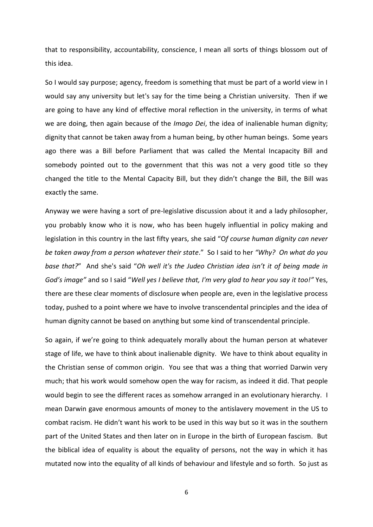that to responsibility, accountability, conscience, I mean all sorts of things blossom out of this idea.

So I would say purpose; agency, freedom is something that must be part of a world view in I would say any university but let's say for the time being a Christian university. Then if we are going to have any kind of effective moral reflection in the university, in terms of what we are doing, then again because of the *Imago Dei*, the idea of inalienable human dignity; dignity that cannot be taken away from a human being, by other human beings. Some years ago there was a Bill before Parliament that was called the Mental Incapacity Bill and somebody pointed out to the government that this was not a very good title so they changed the title to the Mental Capacity Bill, but they didn't change the Bill, the Bill was exactly the same.

Anyway we were having a sort of pre-legislative discussion about it and a lady philosopher, you probably know who it is now, who has been hugely influential in policy making and legislation in this country in the last fifty years, she said "O*f course human dignity can never be taken away from a person whatever their state*." So I said to her *"Why? On what do you base that?*" And she's said "*Oh well it's the Judeo Christian idea isn't it of being made in God's image"* and so I said "*Well yes I believe that, I'm very glad to hear you say it too!"* Yes, there are these clear moments of disclosure when people are, even in the legislative process today, pushed to a point where we have to involve transcendental principles and the idea of human dignity cannot be based on anything but some kind of transcendental principle.

So again, if we're going to think adequately morally about the human person at whatever stage of life, we have to think about inalienable dignity. We have to think about equality in the Christian sense of common origin. You see that was a thing that worried Darwin very much; that his work would somehow open the way for racism, as indeed it did. That people would begin to see the different races as somehow arranged in an evolutionary hierarchy. I mean Darwin gave enormous amounts of money to the antislavery movement in the US to combat racism. He didn't want his work to be used in this way but so it was in the southern part of the United States and then later on in Europe in the birth of European fascism. But the biblical idea of equality is about the equality of persons, not the way in which it has mutated now into the equality of all kinds of behaviour and lifestyle and so forth. So just as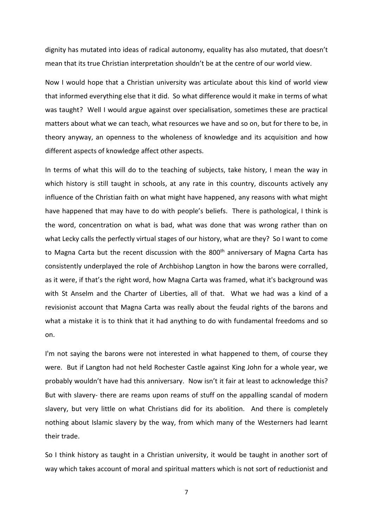dignity has mutated into ideas of radical autonomy, equality has also mutated, that doesn't mean that its true Christian interpretation shouldn't be at the centre of our world view.

Now I would hope that a Christian university was articulate about this kind of world view that informed everything else that it did. So what difference would it make in terms of what was taught? Well I would argue against over specialisation, sometimes these are practical matters about what we can teach, what resources we have and so on, but for there to be, in theory anyway, an openness to the wholeness of knowledge and its acquisition and how different aspects of knowledge affect other aspects.

In terms of what this will do to the teaching of subjects, take history, I mean the way in which history is still taught in schools, at any rate in this country, discounts actively any influence of the Christian faith on what might have happened, any reasons with what might have happened that may have to do with people's beliefs. There is pathological, I think is the word, concentration on what is bad, what was done that was wrong rather than on what Lecky calls the perfectly virtual stages of our history, what are they? So I want to come to Magna Carta but the recent discussion with the 800<sup>th</sup> anniversary of Magna Carta has consistently underplayed the role of Archbishop Langton in how the barons were corralled, as it were, if that's the right word, how Magna Carta was framed, what it's background was with St Anselm and the Charter of Liberties, all of that. What we had was a kind of a revisionist account that Magna Carta was really about the feudal rights of the barons and what a mistake it is to think that it had anything to do with fundamental freedoms and so on.

I'm not saying the barons were not interested in what happened to them, of course they were. But if Langton had not held Rochester Castle against King John for a whole year, we probably wouldn't have had this anniversary. Now isn't it fair at least to acknowledge this? But with slavery- there are reams upon reams of stuff on the appalling scandal of modern slavery, but very little on what Christians did for its abolition. And there is completely nothing about Islamic slavery by the way, from which many of the Westerners had learnt their trade.

So I think history as taught in a Christian university, it would be taught in another sort of way which takes account of moral and spiritual matters which is not sort of reductionist and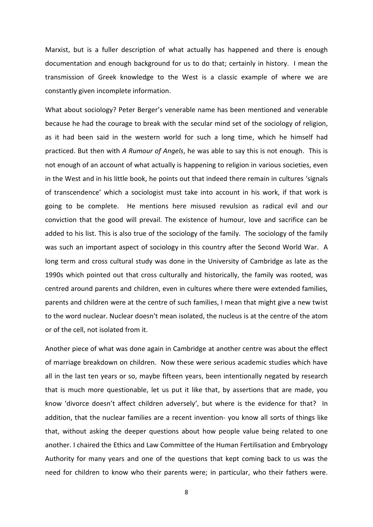Marxist, but is a fuller description of what actually has happened and there is enough documentation and enough background for us to do that; certainly in history. I mean the transmission of Greek knowledge to the West is a classic example of where we are constantly given incomplete information.

What about sociology? Peter Berger's venerable name has been mentioned and venerable because he had the courage to break with the secular mind set of the sociology of religion, as it had been said in the western world for such a long time, which he himself had practiced. But then with *A Rumour of Angels*, he was able to say this is not enough. This is not enough of an account of what actually is happening to religion in various societies, even in the West and in his little book, he points out that indeed there remain in cultures 'signals of transcendence' which a sociologist must take into account in his work, if that work is going to be complete. He mentions here misused revulsion as radical evil and our conviction that the good will prevail. The existence of humour, love and sacrifice can be added to his list. This is also true of the sociology of the family. The sociology of the family was such an important aspect of sociology in this country after the Second World War. A long term and cross cultural study was done in the University of Cambridge as late as the 1990s which pointed out that cross culturally and historically, the family was rooted, was centred around parents and children, even in cultures where there were extended families, parents and children were at the centre of such families, I mean that might give a new twist to the word nuclear. Nuclear doesn't mean isolated, the nucleus is at the centre of the atom or of the cell, not isolated from it.

Another piece of what was done again in Cambridge at another centre was about the effect of marriage breakdown on children. Now these were serious academic studies which have all in the last ten years or so, maybe fifteen years, been intentionally negated by research that is much more questionable, let us put it like that, by assertions that are made, you know 'divorce doesn't affect children adversely', but where is the evidence for that? In addition, that the nuclear families are a recent invention- you know all sorts of things like that, without asking the deeper questions about how people value being related to one another. I chaired the Ethics and Law Committee of the Human Fertilisation and Embryology Authority for many years and one of the questions that kept coming back to us was the need for children to know who their parents were; in particular, who their fathers were.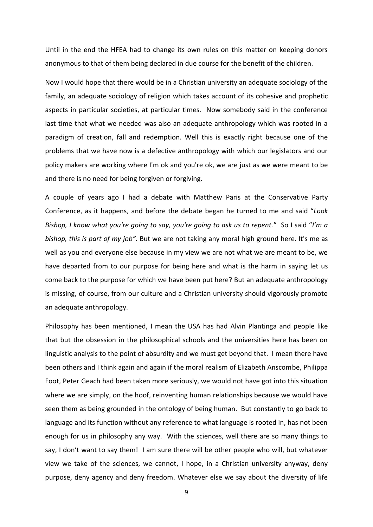Until in the end the HFEA had to change its own rules on this matter on keeping donors anonymous to that of them being declared in due course for the benefit of the children.

Now I would hope that there would be in a Christian university an adequate sociology of the family, an adequate sociology of religion which takes account of its cohesive and prophetic aspects in particular societies, at particular times. Now somebody said in the conference last time that what we needed was also an adequate anthropology which was rooted in a paradigm of creation, fall and redemption. Well this is exactly right because one of the problems that we have now is a defective anthropology with which our legislators and our policy makers are working where I'm ok and you're ok, we are just as we were meant to be and there is no need for being forgiven or forgiving.

A couple of years ago I had a debate with Matthew Paris at the Conservative Party Conference, as it happens, and before the debate began he turned to me and said "*Look Bishop, I know what you're going to say, you're going to ask us to repent.*" So I said "*I'm a bishop, this is part of my job".* But we are not taking any moral high ground here. It's me as well as you and everyone else because in my view we are not what we are meant to be, we have departed from to our purpose for being here and what is the harm in saying let us come back to the purpose for which we have been put here? But an adequate anthropology is missing, of course, from our culture and a Christian university should vigorously promote an adequate anthropology.

Philosophy has been mentioned, I mean the USA has had Alvin Plantinga and people like that but the obsession in the philosophical schools and the universities here has been on linguistic analysis to the point of absurdity and we must get beyond that. I mean there have been others and I think again and again if the moral realism of Elizabeth Anscombe, Philippa Foot, Peter Geach had been taken more seriously, we would not have got into this situation where we are simply, on the hoof, reinventing human relationships because we would have seen them as being grounded in the ontology of being human. But constantly to go back to language and its function without any reference to what language is rooted in, has not been enough for us in philosophy any way. With the sciences, well there are so many things to say, I don't want to say them! I am sure there will be other people who will, but whatever view we take of the sciences, we cannot, I hope, in a Christian university anyway, deny purpose, deny agency and deny freedom. Whatever else we say about the diversity of life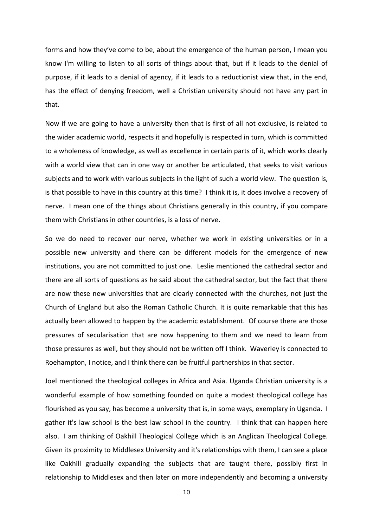forms and how they've come to be, about the emergence of the human person, I mean you know I'm willing to listen to all sorts of things about that, but if it leads to the denial of purpose, if it leads to a denial of agency, if it leads to a reductionist view that, in the end, has the effect of denying freedom, well a Christian university should not have any part in that.

Now if we are going to have a university then that is first of all not exclusive, is related to the wider academic world, respects it and hopefully is respected in turn, which is committed to a wholeness of knowledge, as well as excellence in certain parts of it, which works clearly with a world view that can in one way or another be articulated, that seeks to visit various subjects and to work with various subjects in the light of such a world view. The question is, is that possible to have in this country at this time? I think it is, it does involve a recovery of nerve. I mean one of the things about Christians generally in this country, if you compare them with Christians in other countries, is a loss of nerve.

So we do need to recover our nerve, whether we work in existing universities or in a possible new university and there can be different models for the emergence of new institutions, you are not committed to just one. Leslie mentioned the cathedral sector and there are all sorts of questions as he said about the cathedral sector, but the fact that there are now these new universities that are clearly connected with the churches, not just the Church of England but also the Roman Catholic Church. It is quite remarkable that this has actually been allowed to happen by the academic establishment. Of course there are those pressures of secularisation that are now happening to them and we need to learn from those pressures as well, but they should not be written off I think. Waverley is connected to Roehampton, I notice, and I think there can be fruitful partnerships in that sector.

Joel mentioned the theological colleges in Africa and Asia. Uganda Christian university is a wonderful example of how something founded on quite a modest theological college has flourished as you say, has become a university that is, in some ways, exemplary in Uganda. I gather it's law school is the best law school in the country. I think that can happen here also. I am thinking of Oakhill Theological College which is an Anglican Theological College. Given its proximity to Middlesex University and it's relationships with them, I can see a place like Oakhill gradually expanding the subjects that are taught there, possibly first in relationship to Middlesex and then later on more independently and becoming a university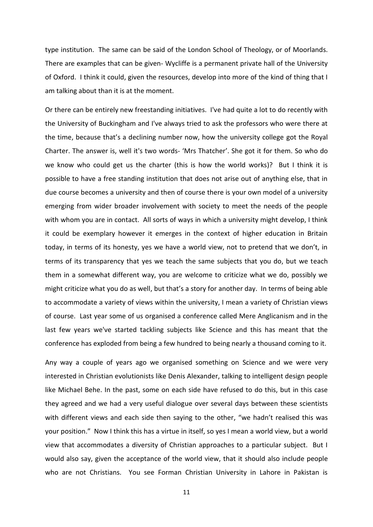type institution. The same can be said of the London School of Theology, or of Moorlands. There are examples that can be given- Wycliffe is a permanent private hall of the University of Oxford. I think it could, given the resources, develop into more of the kind of thing that I am talking about than it is at the moment.

Or there can be entirely new freestanding initiatives. I've had quite a lot to do recently with the University of Buckingham and I've always tried to ask the professors who were there at the time, because that's a declining number now, how the university college got the Royal Charter. The answer is, well it's two words- 'Mrs Thatcher'. She got it for them. So who do we know who could get us the charter (this is how the world works)? But I think it is possible to have a free standing institution that does not arise out of anything else, that in due course becomes a university and then of course there is your own model of a university emerging from wider broader involvement with society to meet the needs of the people with whom you are in contact. All sorts of ways in which a university might develop, I think it could be exemplary however it emerges in the context of higher education in Britain today, in terms of its honesty, yes we have a world view, not to pretend that we don't, in terms of its transparency that yes we teach the same subjects that you do, but we teach them in a somewhat different way, you are welcome to criticize what we do, possibly we might criticize what you do as well, but that's a story for another day. In terms of being able to accommodate a variety of views within the university, I mean a variety of Christian views of course. Last year some of us organised a conference called Mere Anglicanism and in the last few years we've started tackling subjects like Science and this has meant that the conference has exploded from being a few hundred to being nearly a thousand coming to it.

Any way a couple of years ago we organised something on Science and we were very interested in Christian evolutionists like Denis Alexander, talking to intelligent design people like Michael Behe. In the past, some on each side have refused to do this, but in this case they agreed and we had a very useful dialogue over several days between these scientists with different views and each side then saying to the other, "we hadn't realised this was your position." Now I think this has a virtue in itself, so yes I mean a world view, but a world view that accommodates a diversity of Christian approaches to a particular subject. But I would also say, given the acceptance of the world view, that it should also include people who are not Christians. You see Forman Christian University in Lahore in Pakistan is